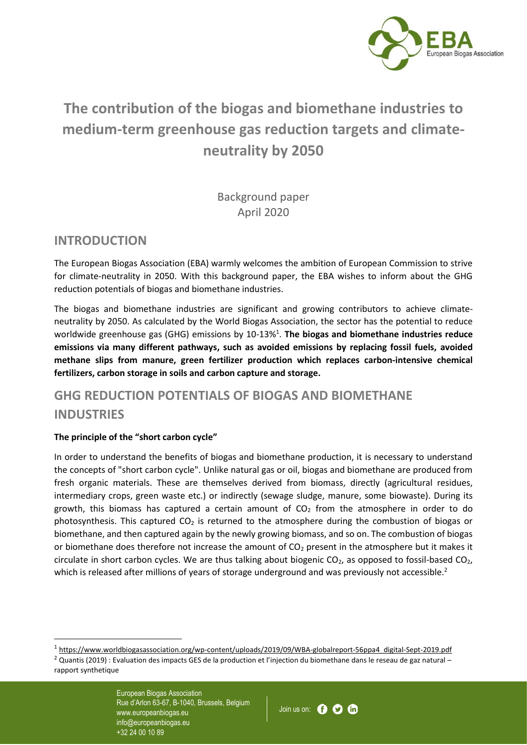

# **The contribution of the biogas and biomethane industries to medium-term greenhouse gas reduction targets and climateneutrality by 2050**

Background paper April 2020

### **INTRODUCTION**

The European Biogas Association (EBA) warmly welcomes the ambition of European Commission to strive for climate-neutrality in 2050. With this background paper, the EBA wishes to inform about the GHG reduction potentials of biogas and biomethane industries.

The biogas and biomethane industries are significant and growing contributors to achieve climateneutrality by 2050. As calculated by the World Biogas Association, the sector has the potential to reduce worldwide greenhouse gas (GHG) emissions by 10-13%<sup>1</sup>. The biogas and biomethane industries reduce **emissions via many different pathways, such as avoided emissions by replacing fossil fuels, avoided methane slips from manure, green fertilizer production which replaces carbon-intensive chemical fertilizers, carbon storage in soils and carbon capture and storage.** 

## **GHG REDUCTION POTENTIALS OF BIOGAS AND BIOMETHANE INDUSTRIES**

#### **The principle of the "short carbon cycle"**

In order to understand the benefits of biogas and biomethane production, it is necessary to understand the concepts of "short carbon cycle". Unlike natural gas or oil, biogas and biomethane are produced from fresh organic materials. These are themselves derived from biomass, directly (agricultural residues, intermediary crops, green waste etc.) or indirectly (sewage sludge, manure, some biowaste). During its growth, this biomass has captured a certain amount of  $CO<sub>2</sub>$  from the atmosphere in order to do photosynthesis. This captured  $CO<sub>2</sub>$  is returned to the atmosphere during the combustion of biogas or biomethane, and then captured again by the newly growing biomass, and so on. The combustion of biogas or biomethane does therefore not increase the amount of  $CO<sub>2</sub>$  present in the atmosphere but it makes it circulate in short carbon cycles. We are thus talking about biogenic  $CO<sub>2</sub>$ , as opposed to fossil-based  $CO<sub>2</sub>$ , which is released after millions of years of storage underground and was previously not accessible.<sup>2</sup>



<sup>1</sup> [https://www.worldbiogasassociation.org/wp-content/uploads/2019/09/WBA-globalreport-56ppa4\\_digital-Sept-2019.pdf](https://www.worldbiogasassociation.org/wp-content/uploads/2019/09/WBA-globalreport-56ppa4_digital-Sept-2019.pdf)

 $2$  Quantis (2019) : Evaluation des impacts GES de la production et l'injection du biomethane dans le reseau de gaz natural – rapport synthetique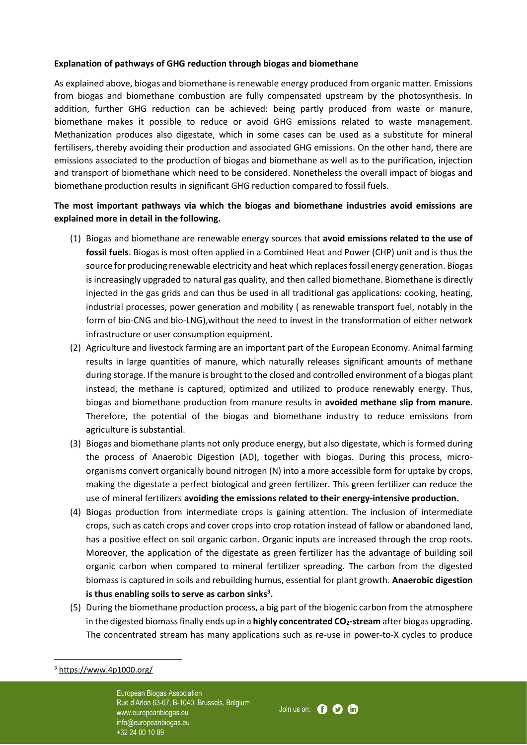#### **Explanation of pathways of GHG reduction through biogas and biomethane**

As explained above, biogas and biomethane is renewable energy produced from organic matter. Emissions from biogas and biomethane combustion are fully compensated upstream by the photosynthesis. In addition, further GHG reduction can be achieved: being partly produced from waste or manure, biomethane makes it possible to reduce or avoid GHG emissions related to waste management. Methanization produces also digestate, which in some cases can be used as a substitute for mineral fertilisers, thereby avoiding their production and associated GHG emissions. On the other hand, there are emissions associated to the production of biogas and biomethane as well as to the purification, injection and transport of biomethane which need to be considered. Nonetheless the overall impact of biogas and biomethane production results in significant GHG reduction compared to fossil fuels.

#### **The most important pathways via which the biogas and biomethane industries avoid emissions are explained more in detail in the following.**

- (1) Biogas and biomethane are renewable energy sources that **avoid emissions related to the use of fossil fuels**. Biogas is most often applied in a Combined Heat and Power (CHP) unit and is thus the source for producing renewable electricity and heat which replaces fossil energy generation. Biogas is increasingly upgraded to natural gas quality, and then called biomethane. Biomethane is directly injected in the gas grids and can thus be used in all traditional gas applications: cooking, heating, industrial processes, power generation and mobility ( as renewable transport fuel, notably in the form of bio-CNG and bio-LNG),without the need to invest in the transformation of either network infrastructure or user consumption equipment.
- (2) Agriculture and livestock farming are an important part of the European Economy. Animal farming results in large quantities of manure, which naturally releases significant amounts of methane during storage. If the manure is brought to the closed and controlled environment of a biogas plant instead, the methane is captured, optimized and utilized to produce renewably energy. Thus, biogas and biomethane production from manure results in **avoided methane slip from manure**. Therefore, the potential of the biogas and biomethane industry to reduce emissions from agriculture is substantial.
- (3) Biogas and biomethane plants not only produce energy, but also digestate, which is formed during the process of Anaerobic Digestion (AD), together with biogas. During this process, microorganisms convert organically bound nitrogen (N) into a more accessible form for uptake by crops, making the digestate a perfect biological and green fertilizer. This green fertilizer can reduce the use of mineral fertilizers **avoiding the emissions related to their energy-intensive production.**
- (4) Biogas production from intermediate crops is gaining attention. The inclusion of intermediate crops, such as catch crops and cover crops into crop rotation instead of fallow or abandoned land, has a positive effect on soil organic carbon. Organic inputs are increased through the crop roots. Moreover, the application of the digestate as green fertilizer has the advantage of building soil organic carbon when compared to mineral fertilizer spreading. The carbon from the digested biomass is captured in soils and rebuilding humus, essential for plant growth. **Anaerobic digestion is thus enabling soils to serve as carbon sinks<sup>3</sup> .**
- (5) During the biomethane production process, a big part of the biogenic carbon from the atmosphere in the digested biomass finally ends up in a **highly concentrated CO2-stream** after biogas upgrading. The concentrated stream has many applications such as re-use in power-to-X cycles to produce



 $3$  <https://www.4p1000.org/>